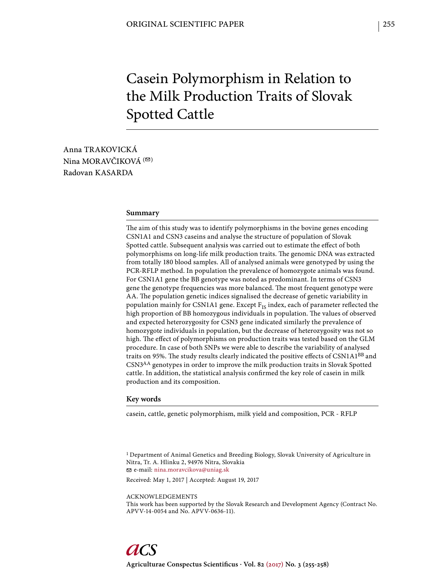# Casein Polymorphism in Relation to the Milk Production Traits of Slovak Spotted Cattle

Anna TRAKOVICKÁ Nina MORAVČIKOVÁ  $( \nabla )$ Radovan KASARDA

#### **Summary**

The aim of this study was to identify polymorphisms in the bovine genes encoding CSN1A1 and CSN3 caseins and analyse the structure of population of Slovak Spotted cattle. Subsequent analysis was carried out to estimate the effect of both polymorphisms on long-life milk production traits. The genomic DNA was extracted from totally 180 blood samples. All of analysed animals were genotyped by using the PCR-RFLP method. In population the prevalence of homozygote animals was found. For CSN1A1 gene the BB genotype was noted as predominant. In terms of CSN3 gene the genotype frequencies was more balanced. The most frequent genotype were AA. The population genetic indices signalised the decrease of genetic variability in population mainly for CSN1A1 gene. Except  $F_{IS}$  index, each of parameter reflected the high proportion of BB homozygous individuals in population. The values of observed and expected heterozygosity for CSN3 gene indicated similarly the prevalence of homozygote individuals in population, but the decrease of heterozygosity was not so high. The effect of polymorphisms on production traits was tested based on the GLM procedure. In case of both SNPs we were able to describe the variability of analysed traits on 95%. The study results clearly indicated the positive effects of  $\text{CSN1Al}^{BB}$  and CSN3AA genotypes in order to improve the milk production traits in Slovak Spotted cattle. In addition, the statistical analysis confirmed the key role of casein in milk production and its composition.

# **Key words**

casein, cattle, genetic polymorphism, milk yield and composition, PCR - RFLP

1 Department of Animal Genetics and Breeding Biology, Slovak University of Agriculture in Nitra, Tr. A. Hlinku 2, 94976 Nitra, Slovakia e-mail: nina.moravcikova@uniag.sk

Received: May 1, 2017 | Accepted: August 19, 2017

ACKNOWLEDGEMENTS

This work has been supported by the Slovak Research and Development Agency (Contract No. APVV-14-0054 and No. APVV-0636-11).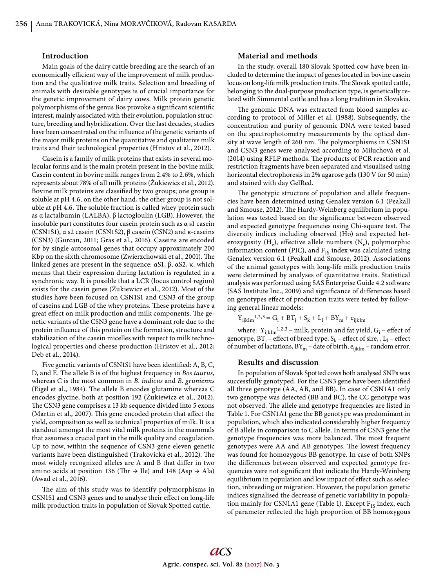### **Introduction**

Main goals of the dairy cattle breeding are the search of an economically efficient way of the improvement of milk production and the qualitative milk traits. Selection and breeding of animals with desirable genotypes is of crucial importance for the genetic improvement of dairy cows. Milk protein genetic polymorphisms of the genus Bos provoke a significant scientific interest, mainly associated with their evolution, population structure, breeding and hybridization. Over the last decades, studies have been concentrated on the influence of the genetic variants of the major milk proteins on the quantitative and qualitative milk traits and their technological properties (Hristov et al., 2012).

Casein is a family of milk proteins that exists in several molecular forms and is the main protein present in the bovine milk. Casein content in bovine milk ranges from 2.4% to 2.6%, which represents about 78% of all milk proteins (Żukiewicz et al., 2012). Bovine milk proteins are classified by two groups; one group is soluble at pH 4.6, on the other hand, the other group is not soluble at pH 4.6. The soluble fraction is called whey protein such as α lactalbumin (LALBA), β lactogloulin (LGB). However, the insoluble part constitutes four casein protein such as α s1 casein (CSN1S1), α s2 casein (CSN1S2), β casein (CSN2) and κ-caseins (CSN3) (Gurcan, 2011; Gras et al., 2016). Caseins are encoded for by single autosomal genes that occupy approximately 200 Kbp on the sixth chromosome (Zwierzchowski et al., 2001). The linked genes are present in the sequence: αS1, β, αS2, κ, which means that their expression during lactation is regulated in a synchronic way. It is possible that a LCR (locus control region) exists for the casein genes (Żukiewicz et al., 2012). Most of the studies have been focused on CSN1S1 and CSN3 of the group of caseins and LGB of the whey proteins. These proteins have a great effect on milk production and milk components. The genetic variants of the CSN3 gene have a dominant role due to the protein influence of this protein on the formation, structure and stabilization of the casein micelles with respect to milk technological properties and cheese production (Hristov et al., 2012; Deb et al., 2014).

Five genetic variants of CSN1S1 have been identified: A, B, C, D, and E. The allele B is of the highest frequency in *Bos taurus*, whereas C is the most common in *B. indicus* and *B. grunienns* (Eigel et al., 1984). The allele B encodes glutamine whereas C encodes glycine, both at position 192 (Żukiewicz et al., 2012). The CSN3 gene comprises a 13 kb sequence divided into 5 exons (Martin et al., 2007). This gene encoded protein that affect the yield, composition as well as technical properties of milk. It is a standout amongst the most vital milk proteins in the mammals that assumes a crucial part in the milk quality and coagulation. Up to now, within the sequence of CSN3 gene eleven genetic variants have been distinguished (Trakovická et al., 2012). The most widely recognized alleles are A and B that differ in two amino acids at position 136 (Thr  $\rightarrow$  Ile) and 148 (Asp  $\rightarrow$  Ala) (Awad et al., 2016).

The aim of this study was to identify polymorphisms in CSN1S1 and CSN3 genes and to analyse their effect on long-life milk production traits in population of Slovak Spotted cattle.

# **Material and methods**

In the study, overall 180 Slovak Spotted cow have been included to determine the impact of genes located in bovine casein locus on long-life milk production traits. The Slovak spotted cattle, belonging to the dual-purpose production type, is genetically related with Simmental cattle and has a long tradition in Slovakia.

The genomic DNA was extracted from blood samples according to protocol of Miller et al. (1988). Subsequently, the concentration and purity of genomic DNA were tested based on the spectrophotometry measurements by the optical density at wave length of 260 nm. The polymorphisms in CSN1S1 and CSN3 genes were analysed according to Miluchová et al. (2014) using RFLP methods. The products of PCR reaction and restriction fragments have been separated and visualised using horizontal electrophoresis in 2% agarose gels (130 V for 50 min) and stained with day GelRed.

The genotypic structure of population and allele frequencies have been determined using Genalex version 6.1 (Peakall and Smouse, 2012). The Hardy-Weinberg equilibrium in population was tested based on the significance between observed and expected genotype frequencies using Chi-square test. The diversity indices including observed (Ho) and expected heterozygosity  $(H_e)$ , effective allele numbers  $(N_e)$ , polymorphic information content (PIC), and  $F_{IS}$  index was calculated using Genalex version 6.1 (Peakall and Smouse, 2012). Associations of the animal genotypes with long-life milk production traits were determined by analyses of quantitative traits. Statistical analysis was performed using SAS Enterprise Guide 4.2 software (SAS Institute Inc., 2009) and significance of differences based on genotypes effect of production traits were tested by following general linear models:

 $Y_{ijklm}^{1,2,3} = G_i + BT_j + S_k + L_l + BY_m + e_{ijklm}$ 

where:  $Y_{ijklm}$ <sup>1,2,3</sup> – milk, protein and fat yield,  $G_i$  – effect of genotype,  $BT_j$  – effect of breed type,  $S_k$  – effect of sire, , L<sub>1</sub> – effect of number of lactations,  $BY_m$  – date of birth,  $e_{ijklm}$  – random error.

### **Results and discussion**

In population of Slovak Spotted cows both analysed SNPs was successfully genotyped. For the CSN3 gene have been identified all three genotype (AA, AB, and BB). In case of CSN1A1 only two genotype was detected (BB and BC), the CC genotype was not observed. The allele and genotype frequencies are listed in Table 1. For CSN1A1 gene the BB genotype was predominant in population, which also indicated considerably higher frequency of B allele in comparison to C allele. In terms of CSN3 gene the genotype frequencies was more balanced. The most frequent genotypes were AA and AB genotypes. The lowest frequency was found for homozygous BB genotype. In case of both SNPs the differences between observed and expected genotype frequencies were not significant that indicate the Hardy-Weinberg equilibrium in population and low impact of effect such as selection, inbreeding or migration. However, the population genetic indices signalised the decrease of genetic variability in population mainly for CSN1A1 gene (Table 1). Except  $F_{IS}$  index, each of parameter reflected the high proportion of BB homozygous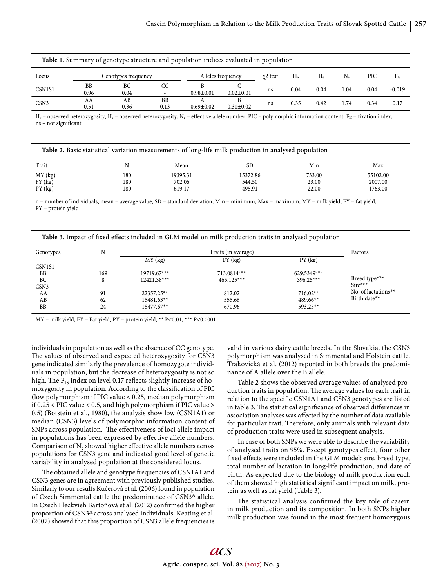| Table 1. Summary of genotype structure and population indices evaluated in population |                   |                     |            |                   |                 |           |                |      |       |      |          |
|---------------------------------------------------------------------------------------|-------------------|---------------------|------------|-------------------|-----------------|-----------|----------------|------|-------|------|----------|
| Locus                                                                                 |                   | Genotypes frequency |            | Alleles frequency |                 | $x2$ test | H <sub>o</sub> |      | $N_e$ | PIC  | $F_{IS}$ |
| CSN <sub>1</sub> S <sub>1</sub>                                                       | <b>BB</b><br>0.96 | ВC<br>0.04          | CC         | $0.98 \pm 0.01$   | $0.02 \pm 0.01$ | ns        | 0.04           | 0.04 | 1.04  | 0.04 | $-0.019$ |
| CSN <sub>3</sub>                                                                      | AA<br>0.51        | AВ<br>0.36          | BB<br>0.13 | $0.69 \pm 0.02$   | $0.31 \pm 0.02$ | ns        | 0.35           | 0.42 | 1.74  | 0.34 | 0.17     |

 $H_0$  – observed heterozygosity,  $H_e$  – observed heterozygosity,  $N_e$  – effective allele number, PIC – polymorphic information content, F<sub>IS</sub> – fixation index, ns – not significant

| Table 2. Basic statistical variation measurements of long-life milk production in analysed population |     |          |          |        |          |  |  |
|-------------------------------------------------------------------------------------------------------|-----|----------|----------|--------|----------|--|--|
| Trait                                                                                                 | N   | Mean     | SD.      | Min    | Max      |  |  |
| MY (kg)                                                                                               | 180 | 19395.31 | 15372.86 | 733.00 | 55102.00 |  |  |
| FY (kg)                                                                                               | 180 | 702.06   | 544.50   | 23.00  | 2007.00  |  |  |
| PY(kg)                                                                                                | 180 | 619.17   | 495.91   | 22.00  | 1763.00  |  |  |

n – number of individuals, mean – average value, SD – standard deviation, Min – minimum, Max – maximum, MY – milk yield, FY – fat yield, PY – protein yield

| Table 3. Impact of fixed effects included in GLM model on milk production traits in analysed population |     |               |               |             |                        |  |  |
|---------------------------------------------------------------------------------------------------------|-----|---------------|---------------|-------------|------------------------|--|--|
| Genotypes                                                                                               | N   |               | Factors       |             |                        |  |  |
|                                                                                                         |     | MY(kg)        | $FY$ (kg)     | PY(kg)      |                        |  |  |
| CSN <sub>1S1</sub>                                                                                      |     |               |               |             |                        |  |  |
| <b>BB</b>                                                                                               | 169 | $19719.67***$ | $713.0814***$ | 629.5349*** |                        |  |  |
| BC                                                                                                      | 8   | $12421.38***$ | $465.125***$  | $396.25***$ | Breed type***          |  |  |
| CSN <sub>3</sub>                                                                                        |     |               |               |             | $Sire***$              |  |  |
| AA                                                                                                      | 91  | 22357.25**    | 812.02        | $716.02**$  | No. of lactations $**$ |  |  |
| AB                                                                                                      | 62  | 15481.63**    | 555.66        | $489.66**$  | Birth date**           |  |  |
| <b>BB</b>                                                                                               | 24  | 18477.67**    | 670.96        | 593.25**    |                        |  |  |

MY – milk yield, FY – Fat yield, PY – protein yield, \*\* P<0.01, \*\*\* P<0.0001

individuals in population as well as the absence of CC genotype. The values of observed and expected heterozygosity for CSN3 gene indicated similarly the prevalence of homozygote individuals in population, but the decrease of heterozygosity is not so high. The  $F_{IS}$  index on level 0.17 reflects slightly increase of homozygosity in population. According to the classification of PIC (low polymorphism if PIC value < 0.25, median polymorphism if 0.25 < PIC value < 0.5, and high polymorphism if PIC value > 0.5) (Botstein et al., 1980), the analysis show low (CSN1A1) or median (CSN3) levels of polymorphic information content of SNPs across population. The effectiveness of loci allele impact in populations has been expressed by effective allele numbers. Comparison of  $N_e$  showed higher effective allele numbers across populations for CSN3 gene and indicated good level of genetic variability in analysed population at the considered locus.

The obtained allele and genotype frequencies of CSN1A1 and CSN3 genes are in agreement with previously published studies. Similarly to our results Kučerová et al. (2006) found in population of Czech Simmental cattle the predominance of CSN3A allele. In Czech Fleckvieh Bartoňová et al. (2012) confirmed the higher proportion of CSN3A across analysed individuals. Keating et al. (2007) showed that this proportion of CSN3 allele frequencies is valid in various dairy cattle breeds. In the Slovakia, the CSN3 polymorphism was analysed in Simmental and Holstein cattle. Trakovická et al. (2012) reported in both breeds the predominance of A allele over the B allele.

Table 2 shows the observed average values of analysed production traits in population. The average values for each trait in relation to the specific CSN1A1 and CSN3 genotypes are listed in table 3. The statistical significance of observed differences in association analyses was affected by the number of data available for particular trait. Therefore, only animals with relevant data of production traits were used in subsequent analysis.

In case of both SNPs we were able to describe the variability of analysed traits on 95%. Except genotypes effect, four other fixed effects were included in the GLM model: sire, breed type, total number of lactation in long-life production, and date of birth. As expected due to the biology of milk production each of them showed high statistical significant impact on milk, protein as well as fat yield (Table 3).

The statistical analysis confirmed the key role of casein in milk production and its composition. In both SNPs higher milk production was found in the most frequent homozygous